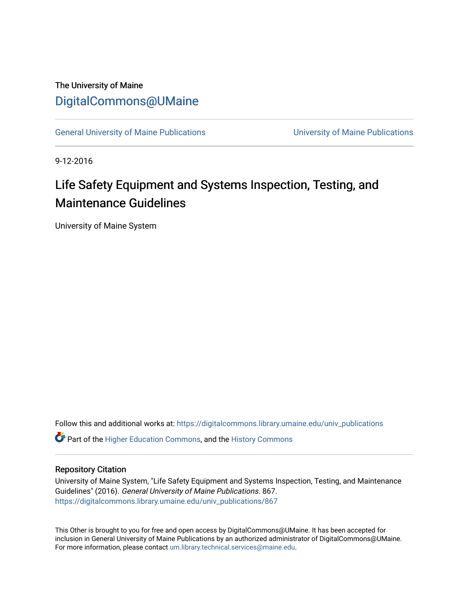# The University of Maine [DigitalCommons@UMaine](https://digitalcommons.library.umaine.edu/)

[General University of Maine Publications](https://digitalcommons.library.umaine.edu/univ_publications) [University of Maine Publications](https://digitalcommons.library.umaine.edu/umaine_publications) 

9-12-2016

# Life Safety Equipment and Systems Inspection, Testing, and Maintenance Guidelines

University of Maine System

Follow this and additional works at: [https://digitalcommons.library.umaine.edu/univ\\_publications](https://digitalcommons.library.umaine.edu/univ_publications?utm_source=digitalcommons.library.umaine.edu%2Funiv_publications%2F867&utm_medium=PDF&utm_campaign=PDFCoverPages) 

**C** Part of the [Higher Education Commons,](http://network.bepress.com/hgg/discipline/1245?utm_source=digitalcommons.library.umaine.edu%2Funiv_publications%2F867&utm_medium=PDF&utm_campaign=PDFCoverPages) and the [History Commons](http://network.bepress.com/hgg/discipline/489?utm_source=digitalcommons.library.umaine.edu%2Funiv_publications%2F867&utm_medium=PDF&utm_campaign=PDFCoverPages)

#### Repository Citation

University of Maine System, "Life Safety Equipment and Systems Inspection, Testing, and Maintenance Guidelines" (2016). General University of Maine Publications. 867. [https://digitalcommons.library.umaine.edu/univ\\_publications/867](https://digitalcommons.library.umaine.edu/univ_publications/867?utm_source=digitalcommons.library.umaine.edu%2Funiv_publications%2F867&utm_medium=PDF&utm_campaign=PDFCoverPages) 

This Other is brought to you for free and open access by DigitalCommons@UMaine. It has been accepted for inclusion in General University of Maine Publications by an authorized administrator of DigitalCommons@UMaine. For more information, please contact [um.library.technical.services@maine.edu](mailto:um.library.technical.services@maine.edu).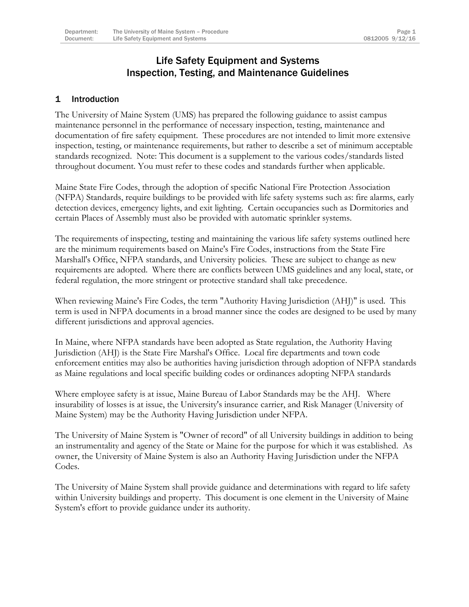### Life Safety Equipment and Systems Inspection, Testing, and Maintenance Guidelines

#### 1 Introduction

The University of Maine System (UMS) has prepared the following guidance to assist campus maintenance personnel in the performance of necessary inspection, testing, maintenance and documentation of fire safety equipment. These procedures are not intended to limit more extensive inspection, testing, or maintenance requirements, but rather to describe a set of minimum acceptable standards recognized. Note: This document is a supplement to the various codes/standards listed throughout document. You must refer to these codes and standards further when applicable.

Maine State Fire Codes, through the adoption of specific National Fire Protection Association (NFPA) Standards, require buildings to be provided with life safety systems such as: fire alarms, early detection devices, emergency lights, and exit lighting. Certain occupancies such as Dormitories and certain Places of Assembly must also be provided with automatic sprinkler systems.

The requirements of inspecting, testing and maintaining the various life safety systems outlined here are the minimum requirements based on Maine's Fire Codes, instructions from the State Fire Marshall's Office, NFPA standards, and University policies. These are subject to change as new requirements are adopted. Where there are conflicts between UMS guidelines and any local, state, or federal regulation, the more stringent or protective standard shall take precedence.

When reviewing Maine's Fire Codes, the term "Authority Having Jurisdiction (AHJ)" is used. This term is used in NFPA documents in a broad manner since the codes are designed to be used by many different jurisdictions and approval agencies.

In Maine, where NFPA standards have been adopted as State regulation, the Authority Having Jurisdiction (AHJ) is the State Fire Marshal's Office. Local fire departments and town code enforcement entities may also be authorities having jurisdiction through adoption of NFPA standards as Maine regulations and local specific building codes or ordinances adopting NFPA standards

Where employee safety is at issue, Maine Bureau of Labor Standards may be the AHJ. Where insurability of losses is at issue, the University's insurance carrier, and Risk Manager (University of Maine System) may be the Authority Having Jurisdiction under NFPA.

The University of Maine System is "Owner of record" of all University buildings in addition to being an instrumentality and agency of the State or Maine for the purpose for which it was established. As owner, the University of Maine System is also an Authority Having Jurisdiction under the NFPA Codes.

The University of Maine System shall provide guidance and determinations with regard to life safety within University buildings and property. This document is one element in the University of Maine System's effort to provide guidance under its authority.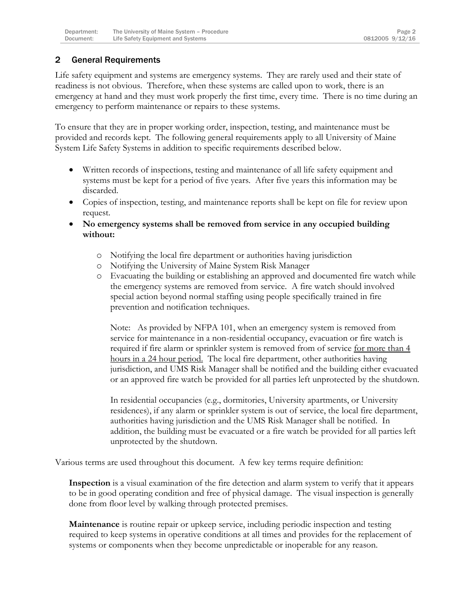#### 2 General Requirements

Life safety equipment and systems are emergency systems. They are rarely used and their state of readiness is not obvious. Therefore, when these systems are called upon to work, there is an emergency at hand and they must work properly the first time, every time. There is no time during an emergency to perform maintenance or repairs to these systems.

To ensure that they are in proper working order, inspection, testing, and maintenance must be provided and records kept. The following general requirements apply to all University of Maine System Life Safety Systems in addition to specific requirements described below.

- Written records of inspections, testing and maintenance of all life safety equipment and systems must be kept for a period of five years. After five years this information may be discarded.
- Copies of inspection, testing, and maintenance reports shall be kept on file for review upon request.
- **No emergency systems shall be removed from service in any occupied building without:**
	- o Notifying the local fire department or authorities having jurisdiction
	- o Notifying the University of Maine System Risk Manager
	- o Evacuating the building or establishing an approved and documented fire watch while the emergency systems are removed from service. A fire watch should involved special action beyond normal staffing using people specifically trained in fire prevention and notification techniques.

Note: As provided by NFPA 101, when an emergency system is removed from service for maintenance in a non-residential occupancy, evacuation or fire watch is required if fire alarm or sprinkler system is removed from of service for more than 4 hours in a 24 hour period. The local fire department, other authorities having jurisdiction, and UMS Risk Manager shall be notified and the building either evacuated or an approved fire watch be provided for all parties left unprotected by the shutdown.

In residential occupancies (e.g., dormitories, University apartments, or University residences), if any alarm or sprinkler system is out of service, the local fire department, authorities having jurisdiction and the UMS Risk Manager shall be notified. In addition, the building must be evacuated or a fire watch be provided for all parties left unprotected by the shutdown.

Various terms are used throughout this document. A few key terms require definition:

**Inspection** is a visual examination of the fire detection and alarm system to verify that it appears to be in good operating condition and free of physical damage. The visual inspection is generally done from floor level by walking through protected premises.

**Maintenance** is routine repair or upkeep service, including periodic inspection and testing required to keep systems in operative conditions at all times and provides for the replacement of systems or components when they become unpredictable or inoperable for any reason.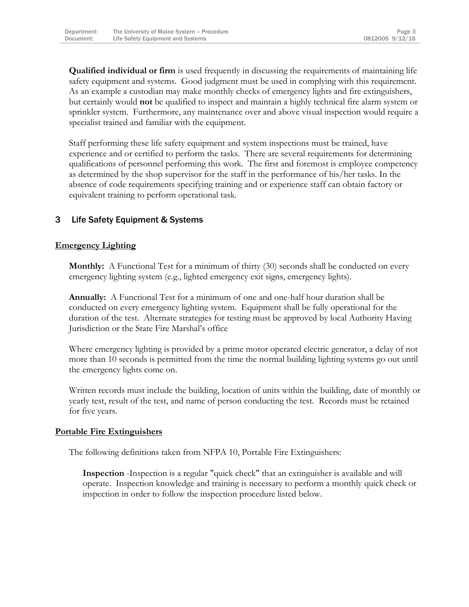**Qualified individual or firm** is used frequently in discussing the requirements of maintaining life safety equipment and systems. Good judgment must be used in complying with this requirement. As an example a custodian may make monthly checks of emergency lights and fire extinguishers, but certainly would **not** be qualified to inspect and maintain a highly technical fire alarm system or sprinkler system. Furthermore, any maintenance over and above visual inspection would require a specialist trained and familiar with the equipment.

Staff performing these life safety equipment and system inspections must be trained, have experience and or certified to perform the tasks. There are several requirements for determining qualifications of personnel performing this work. The first and foremost is employee competency as determined by the shop supervisor for the staff in the performance of his/her tasks. In the absence of code requirements specifying training and or experience staff can obtain factory or equivalent training to perform operational task.

#### 3 Life Safety Equipment & Systems

#### **Emergency Lighting**

**Monthly:** A Functional Test for a minimum of thirty (30) seconds shall be conducted on every emergency lighting system (e.g., lighted emergency exit signs, emergency lights).

**Annually:** A Functional Test for a minimum of one and one-half hour duration shall be conducted on every emergency lighting system. Equipment shall be fully operational for the duration of the test. Alternate strategies for testing must be approved by local Authority Having Jurisdiction or the State Fire Marshal's office

Where emergency lighting is provided by a prime motor operated electric generator, a delay of not more than 10 seconds is permitted from the time the normal building lighting systems go out until the emergency lights come on.

Written records must include the building, location of units within the building, date of monthly or yearly test, result of the test, and name of person conducting the test. Records must be retained for five years.

#### **Portable Fire Extinguishers**

The following definitions taken from NFPA 10, Portable Fire Extinguishers:

**Inspection** -Inspection is a regular "quick check" that an extinguisher is available and will operate. Inspection knowledge and training is necessary to perform a monthly quick check or inspection in order to follow the inspection procedure listed below.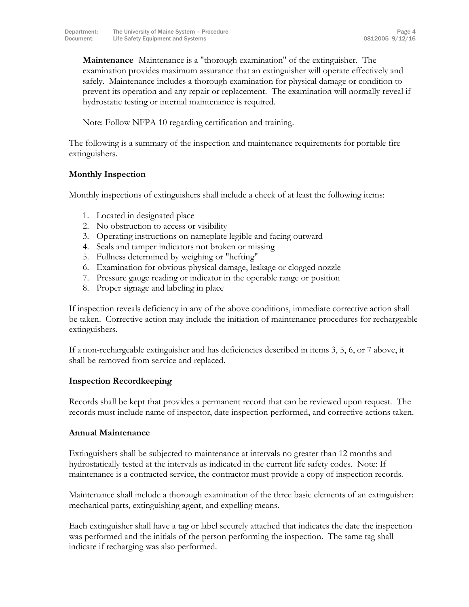**Maintenance** -Maintenance is a "thorough examination" of the extinguisher. The examination provides maximum assurance that an extinguisher will operate effectively and safely. Maintenance includes a thorough examination for physical damage or condition to prevent its operation and any repair or replacement. The examination will normally reveal if hydrostatic testing or internal maintenance is required.

Note: Follow NFPA 10 regarding certification and training.

The following is a summary of the inspection and maintenance requirements for portable fire extinguishers.

#### **Monthly Inspection**

Monthly inspections of extinguishers shall include a check of at least the following items:

- 1. Located in designated place
- 2. No obstruction to access or visibility
- 3. Operating instructions on nameplate legible and facing outward
- 4. Seals and tamper indicators not broken or missing
- 5. Fullness determined by weighing or "hefting"
- 6. Examination for obvious physical damage, leakage or clogged nozzle
- 7. Pressure gauge reading or indicator in the operable range or position
- 8. Proper signage and labeling in place

If inspection reveals deficiency in any of the above conditions, immediate corrective action shall be taken. Corrective action may include the initiation of maintenance procedures for rechargeable extinguishers.

If a non-rechargeable extinguisher and has deficiencies described in items 3, 5, 6, or 7 above, it shall be removed from service and replaced.

#### **Inspection Recordkeeping**

Records shall be kept that provides a permanent record that can be reviewed upon request. The records must include name of inspector, date inspection performed, and corrective actions taken.

#### **Annual Maintenance**

Extinguishers shall be subjected to maintenance at intervals no greater than 12 months and hydrostatically tested at the intervals as indicated in the current life safety codes. Note: If maintenance is a contracted service, the contractor must provide a copy of inspection records.

Maintenance shall include a thorough examination of the three basic elements of an extinguisher: mechanical parts, extinguishing agent, and expelling means.

Each extinguisher shall have a tag or label securely attached that indicates the date the inspection was performed and the initials of the person performing the inspection. The same tag shall indicate if recharging was also performed.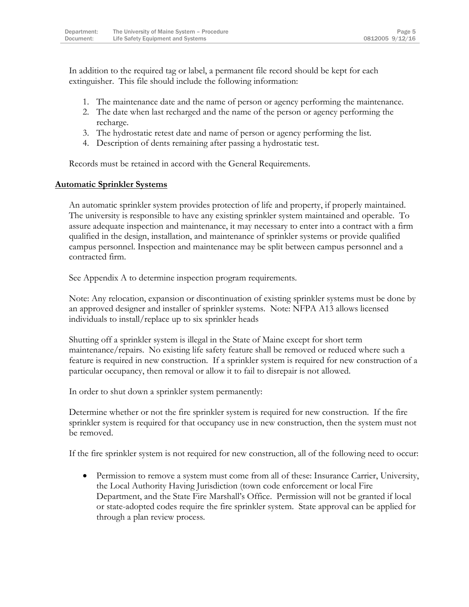In addition to the required tag or label, a permanent file record should be kept for each extinguisher. This file should include the following information:

- 1. The maintenance date and the name of person or agency performing the maintenance.
- 2. The date when last recharged and the name of the person or agency performing the recharge.
- 3. The hydrostatic retest date and name of person or agency performing the list.
- 4. Description of dents remaining after passing a hydrostatic test.

Records must be retained in accord with the General Requirements.

#### **Automatic Sprinkler Systems**

An automatic sprinkler system provides protection of life and property, if properly maintained. The university is responsible to have any existing sprinkler system maintained and operable. To assure adequate inspection and maintenance, it may necessary to enter into a contract with a firm qualified in the design, installation, and maintenance of sprinkler systems or provide qualified campus personnel. Inspection and maintenance may be split between campus personnel and a contracted firm.

See Appendix A to determine inspection program requirements.

Note: Any relocation, expansion or discontinuation of existing sprinkler systems must be done by an approved designer and installer of sprinkler systems. Note: NFPA A13 allows licensed individuals to install/replace up to six sprinkler heads

Shutting off a sprinkler system is illegal in the State of Maine except for short term maintenance/repairs. No existing life safety feature shall be removed or reduced where such a feature is required in new construction. If a sprinkler system is required for new construction of a particular occupancy, then removal or allow it to fail to disrepair is not allowed.

In order to shut down a sprinkler system permanently:

Determine whether or not the fire sprinkler system is required for new construction. If the fire sprinkler system is required for that occupancy use in new construction, then the system must not be removed.

If the fire sprinkler system is not required for new construction, all of the following need to occur:

 Permission to remove a system must come from all of these: Insurance Carrier, University, the Local Authority Having Jurisdiction (town code enforcement or local Fire Department, and the State Fire Marshall's Office. Permission will not be granted if local or state-adopted codes require the fire sprinkler system. State approval can be applied for through a plan review process.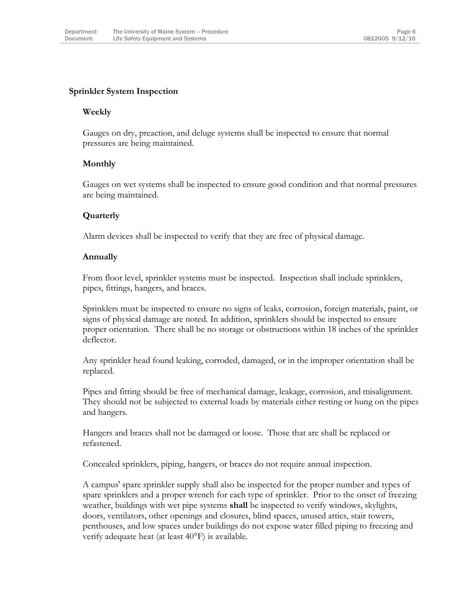#### **Sprinkler System Inspection**

#### **Weekly**

Gauges on dry, preaction, and deluge systems shall be inspected to ensure that normal pressures are being maintained.

#### **Monthly**

Gauges on wet systems shall be inspected to ensure good condition and that normal pressures are being maintained.

#### **Quarterly**

Alarm devices shall be inspected to verify that they are free of physical damage.

#### **Annually**

From floor level, sprinkler systems must be inspected. Inspection shall include sprinklers, pipes, fittings, hangers, and braces.

Sprinklers must be inspected to ensure no signs of leaks, corrosion, foreign materials, paint, or signs of physical damage are noted. In addition, sprinklers should be inspected to ensure proper orientation. There shall be no storage or obstructions within 18 inches of the sprinkler deflector.

Any sprinkler head found leaking, corroded, damaged, or in the improper orientation shall be replaced.

Pipes and fitting should be free of mechanical damage, leakage, corrosion, and misalignment. They should not be subjected to external loads by materials either resting or hung on the pipes and hangers.

Hangers and braces shall not be damaged or loose. Those that are shall be replaced or refastened.

Concealed sprinklers, piping, hangers, or braces do not require annual inspection.

A campus' spare sprinkler supply shall also be inspected for the proper number and types of spare sprinklers and a proper wrench for each type of sprinkler. Prior to the onset of freezing weather, buildings with wet pipe systems **shall** be inspected to verify windows, skylights, doors, ventilators, other openings and closures, blind spaces, unused attics, stair towers, penthouses, and low spaces under buildings do not expose water filled piping to freezing and verify adequate heat (at least 40°F) is available.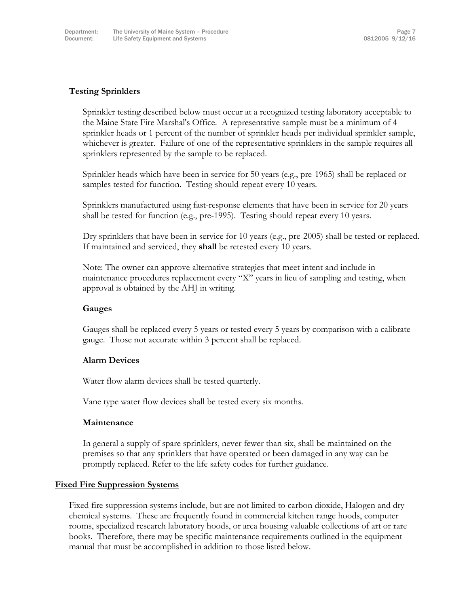#### **Testing Sprinklers**

Sprinkler testing described below must occur at a recognized testing laboratory acceptable to the Maine State Fire Marshal's Office. A representative sample must be a minimum of 4 sprinkler heads or 1 percent of the number of sprinkler heads per individual sprinkler sample, whichever is greater. Failure of one of the representative sprinklers in the sample requires all sprinklers represented by the sample to be replaced.

Sprinkler heads which have been in service for 50 years (e.g., pre-1965) shall be replaced or samples tested for function. Testing should repeat every 10 years.

Sprinklers manufactured using fast-response elements that have been in service for 20 years shall be tested for function (e.g., pre-1995). Testing should repeat every 10 years.

Dry sprinklers that have been in service for 10 years (e.g., pre-2005) shall be tested or replaced. If maintained and serviced, they **shall** be retested every 10 years.

Note: The owner can approve alternative strategies that meet intent and include in maintenance procedures replacement every "X" years in lieu of sampling and testing, when approval is obtained by the AHJ in writing.

#### **Gauges**

Gauges shall be replaced every 5 years or tested every 5 years by comparison with a calibrate gauge. Those not accurate within 3 percent shall be replaced.

#### **Alarm Devices**

Water flow alarm devices shall be tested quarterly.

Vane type water flow devices shall be tested every six months.

#### **Maintenance**

In general a supply of spare sprinklers, never fewer than six, shall be maintained on the premises so that any sprinklers that have operated or been damaged in any way can be promptly replaced. Refer to the life safety codes for further guidance.

#### **Fixed Fire Suppression Systems**

Fixed fire suppression systems include, but are not limited to carbon dioxide, Halogen and dry chemical systems. These are frequently found in commercial kitchen range hoods, computer rooms, specialized research laboratory hoods, or area housing valuable collections of art or rare books. Therefore, there may be specific maintenance requirements outlined in the equipment manual that must be accomplished in addition to those listed below.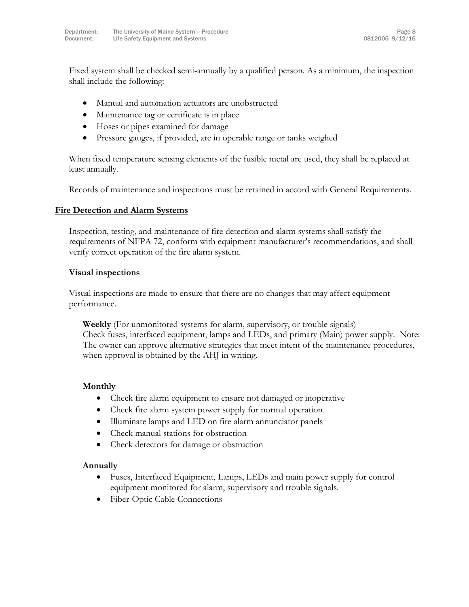Fixed system shall be checked semi-annually by a qualified person. As a minimum, the inspection shall include the following:

- Manual and automation actuators are unobstructed
- Maintenance tag or certificate is in place
- Hoses or pipes examined for damage
- Pressure gauges, if provided, are in operable range or tanks weighed

When fixed temperature sensing elements of the fusible metal are used, they shall be replaced at least annually.

Records of maintenance and inspections must be retained in accord with General Requirements.

#### **Fire Detection and Alarm Systems**

Inspection, testing, and maintenance of fire detection and alarm systems shall satisfy the requirements of NFPA 72, conform with equipment manufacturer's recommendations, and shall verify correct operation of the fire alarm system.

#### **Visual inspections**

Visual inspections are made to ensure that there are no changes that may affect equipment performance.

**Weekly** (For unmonitored systems for alarm, supervisory, or trouble signals) Check fuses, interfaced equipment, lamps and LEDs, and primary (Main) power supply. Note: The owner can approve alternative strategies that meet intent of the maintenance procedures, when approval is obtained by the AHJ in writing.

#### **Monthly**

- Check fire alarm equipment to ensure not damaged or inoperative
- Check fire alarm system power supply for normal operation
- Illuminate lamps and LED on fire alarm annunciator panels
- Check manual stations for obstruction
- Check detectors for damage or obstruction

#### **Annually**

- Fuses, Interfaced Equipment, Lamps, LEDs and main power supply for control equipment monitored for alarm, supervisory and trouble signals.
- Fiber-Optic Cable Connections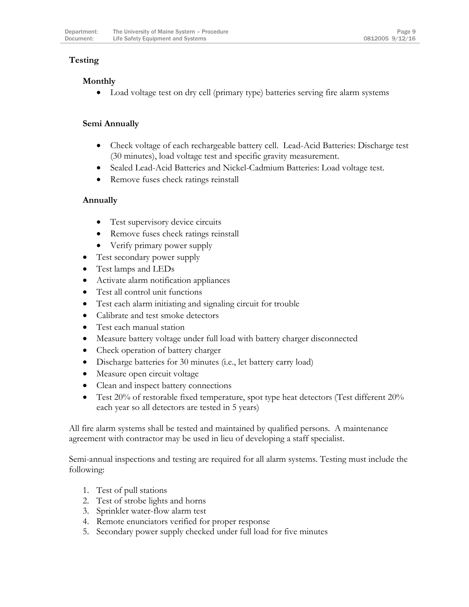#### **Testing**

#### **Monthly**

Load voltage test on dry cell (primary type) batteries serving fire alarm systems

#### **Semi Annually**

- Check voltage of each rechargeable battery cell. Lead-Acid Batteries: Discharge test (30 minutes), load voltage test and specific gravity measurement.
- Sealed Lead-Acid Batteries and Nickel-Cadmium Batteries: Load voltage test.
- Remove fuses check ratings reinstall

#### **Annually**

- Test supervisory device circuits
- Remove fuses check ratings reinstall
- Verify primary power supply
- Test secondary power supply
- Test lamps and LEDs
- Activate alarm notification appliances
- Test all control unit functions
- Test each alarm initiating and signaling circuit for trouble
- Calibrate and test smoke detectors
- Test each manual station
- Measure battery voltage under full load with battery charger disconnected
- Check operation of battery charger
- Discharge batteries for 30 minutes (i.e., let battery carry load)
- Measure open circuit voltage
- Clean and inspect battery connections
- Test 20% of restorable fixed temperature, spot type heat detectors (Test different  $20\%$ each year so all detectors are tested in 5 years)

All fire alarm systems shall be tested and maintained by qualified persons. A maintenance agreement with contractor may be used in lieu of developing a staff specialist.

Semi-annual inspections and testing are required for all alarm systems. Testing must include the following:

- 1. Test of pull stations
- 2. Test of strobe lights and horns
- 3. Sprinkler water-flow alarm test
- 4. Remote enunciators verified for proper response
- 5. Secondary power supply checked under full load for five minutes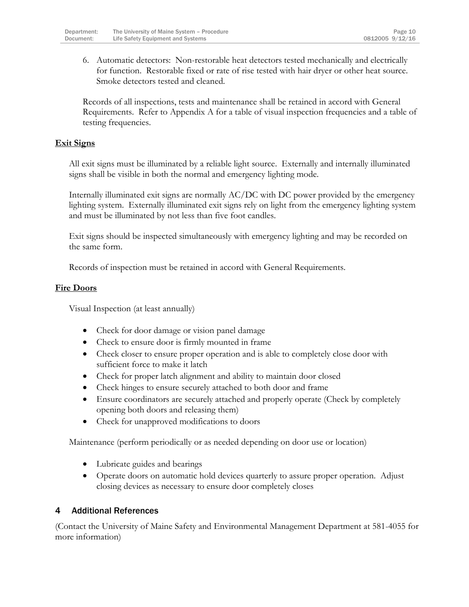6. Automatic detectors: Non-restorable heat detectors tested mechanically and electrically for function. Restorable fixed or rate of rise tested with hair dryer or other heat source. Smoke detectors tested and cleaned.

Records of all inspections, tests and maintenance shall be retained in accord with General Requirements. Refer to Appendix A for a table of visual inspection frequencies and a table of testing frequencies.

#### **Exit Signs**

All exit signs must be illuminated by a reliable light source. Externally and internally illuminated signs shall be visible in both the normal and emergency lighting mode.

Internally illuminated exit signs are normally AC/DC with DC power provided by the emergency lighting system. Externally illuminated exit signs rely on light from the emergency lighting system and must be illuminated by not less than five foot candles.

Exit signs should be inspected simultaneously with emergency lighting and may be recorded on the same form.

Records of inspection must be retained in accord with General Requirements.

#### **Fire Doors**

Visual Inspection (at least annually)

- Check for door damage or vision panel damage
- Check to ensure door is firmly mounted in frame
- Check closer to ensure proper operation and is able to completely close door with sufficient force to make it latch
- Check for proper latch alignment and ability to maintain door closed
- Check hinges to ensure securely attached to both door and frame
- Ensure coordinators are securely attached and properly operate (Check by completely opening both doors and releasing them)
- Check for unapproved modifications to doors

Maintenance (perform periodically or as needed depending on door use or location)

- Lubricate guides and bearings
- Operate doors on automatic hold devices quarterly to assure proper operation. Adjust closing devices as necessary to ensure door completely closes

#### 4 Additional References

(Contact the University of Maine Safety and Environmental Management Department at 581-4055 for more information)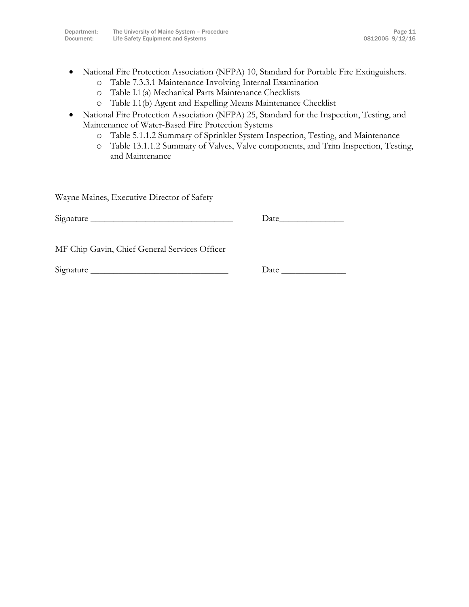- National Fire Protection Association (NFPA) 10, Standard for Portable Fire Extinguishers.
	- o Table 7.3.3.1 Maintenance Involving Internal Examination
	- o Table I.1(a) Mechanical Parts Maintenance Checklists
	- o Table I.1(b) Agent and Expelling Means Maintenance Checklist
- National Fire Protection Association (NFPA) 25, Standard for the Inspection, Testing, and Maintenance of Water-Based Fire Protection Systems
	- o Table 5.1.1.2 Summary of Sprinkler System Inspection, Testing, and Maintenance
	- o Table 13.1.1.2 Summary of Valves, Valve components, and Trim Inspection, Testing, and Maintenance

Wayne Maines, Executive Director of Safety

| r.<br>----<br>---<br>Signature<br>◡ | 24 L |
|-------------------------------------|------|
|-------------------------------------|------|

MF Chip Gavin, Chief General Services Officer

Signature Date  $\Box$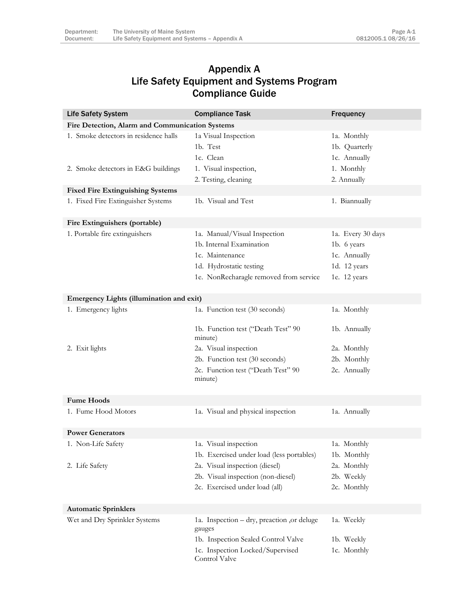## Appendix A Life Safety Equipment and Systems Program Compliance Guide

| <b>Life Safety System</b>                       | <b>Compliance Task</b>                               | Frequency         |  |
|-------------------------------------------------|------------------------------------------------------|-------------------|--|
| Fire Detection, Alarm and Communication Systems |                                                      |                   |  |
| 1. Smoke detectors in residence halls           | 1a Visual Inspection                                 | 1a. Monthly       |  |
|                                                 | 1b. Test                                             | 1b. Quarterly     |  |
|                                                 | 1c. Clean                                            | 1c. Annually      |  |
| 2. Smoke detectors in E&G buildings             | 1. Visual inspection,                                | 1. Monthly        |  |
|                                                 | 2. Testing, cleaning                                 | 2. Annually       |  |
| <b>Fixed Fire Extinguishing Systems</b>         |                                                      |                   |  |
| 1. Fixed Fire Extinguisher Systems              | 1b. Visual and Test                                  | 1. Biannually     |  |
| Fire Extinguishers (portable)                   |                                                      |                   |  |
| 1. Portable fire extinguishers                  | 1a. Manual/Visual Inspection                         | 1a. Every 30 days |  |
|                                                 | 1b. Internal Examination                             | 1b. 6 years       |  |
|                                                 | 1c. Maintenance                                      | 1c. Annually      |  |
|                                                 | 1d. Hydrostatic testing                              | 1d. 12 years      |  |
|                                                 | 1e. NonRecharagle removed from service               | 1e. 12 years      |  |
|                                                 |                                                      |                   |  |
| Emergency Lights (illumination and exit)        |                                                      |                   |  |
| 1. Emergency lights                             | 1a. Function test (30 seconds)                       | 1a. Monthly       |  |
|                                                 | 1b. Function test ("Death Test" 90<br>minute)        | 1b. Annually      |  |
| 2. Exit lights                                  | 2a. Visual inspection                                | 2a. Monthly       |  |
|                                                 | 2b. Function test (30 seconds)                       | 2b. Monthly       |  |
|                                                 | 2c. Function test ("Death Test" 90<br>minute)        | 2c. Annually      |  |
| <b>Fume Hoods</b>                               |                                                      |                   |  |
| 1. Fume Hood Motors                             | 1a. Visual and physical inspection                   | 1a. Annually      |  |
|                                                 |                                                      |                   |  |
| <b>Power Generators</b>                         |                                                      |                   |  |
| 1. Non-Life Safety                              | 1a. Visual inspection                                | 1a. Monthly       |  |
|                                                 | 1b. Exercised under load (less portables)            | 1b. Monthly       |  |
| 2. Life Safety                                  | 2a. Visual inspection (diesel)                       | 2a. Monthly       |  |
|                                                 | 2b. Visual inspection (non-diesel)                   | 2b. Weekly        |  |
|                                                 | 2c. Exercised under load (all)                       | 2c. Monthly       |  |
| <b>Automatic Sprinklers</b>                     |                                                      |                   |  |
| Wet and Dry Sprinkler Systems                   | 1a. Inspection – dry, preaction, or deluge<br>gauges | 1a. Weekly        |  |
|                                                 | 1b. Inspection Sealed Control Valve                  | 1b. Weekly        |  |
|                                                 | 1c. Inspection Locked/Supervised                     | 1c. Monthly       |  |
|                                                 | Control Valve                                        |                   |  |